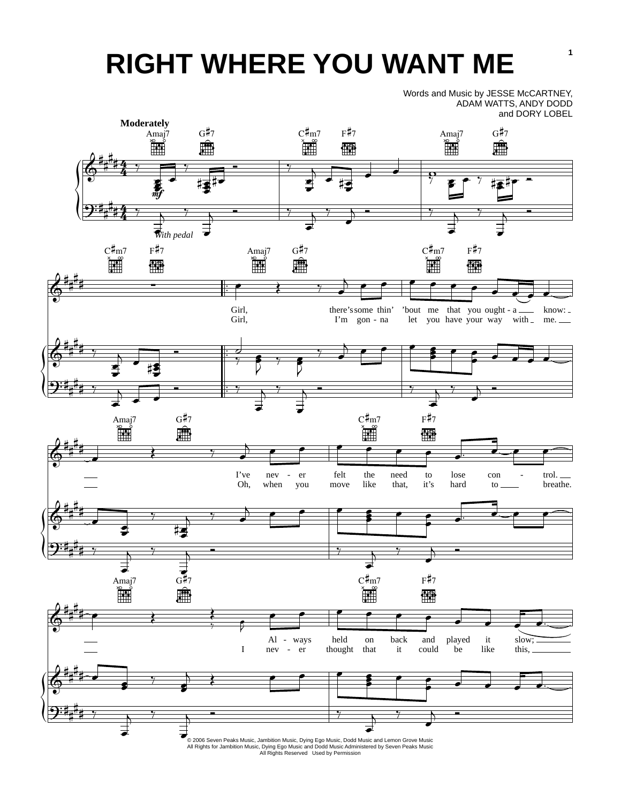## **RIGHT WHERE YOU WANT ME**

Words and Music by JESSE McCARTNEY, ADAM WATTS, ANDY DODD and DORY LOBEL

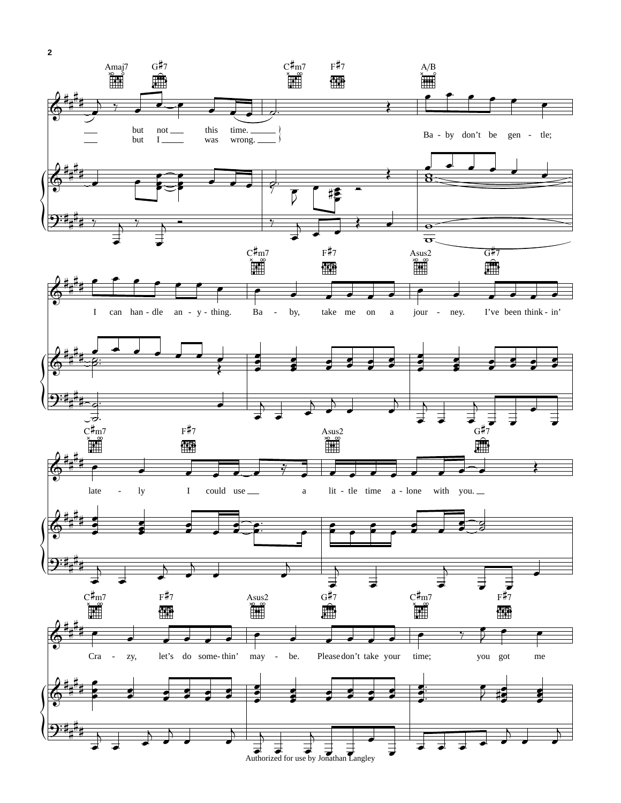

**2**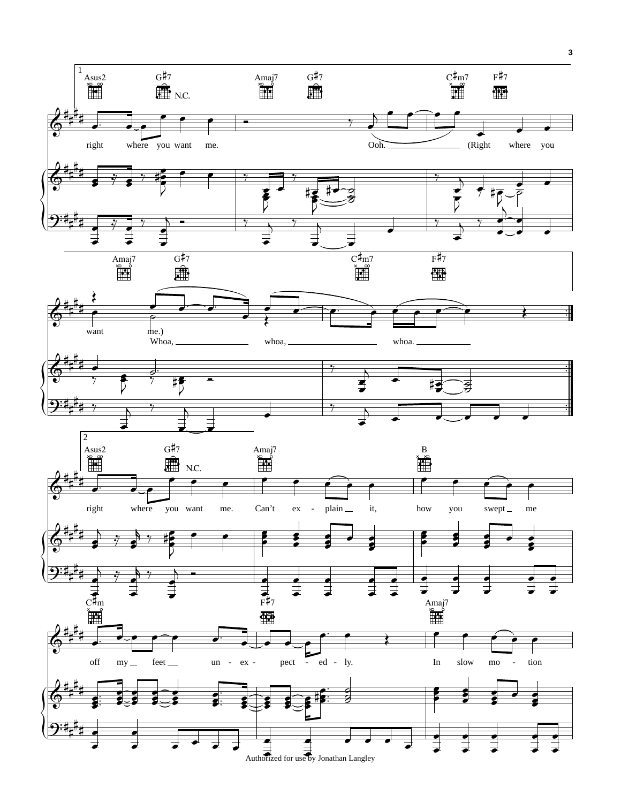

**3**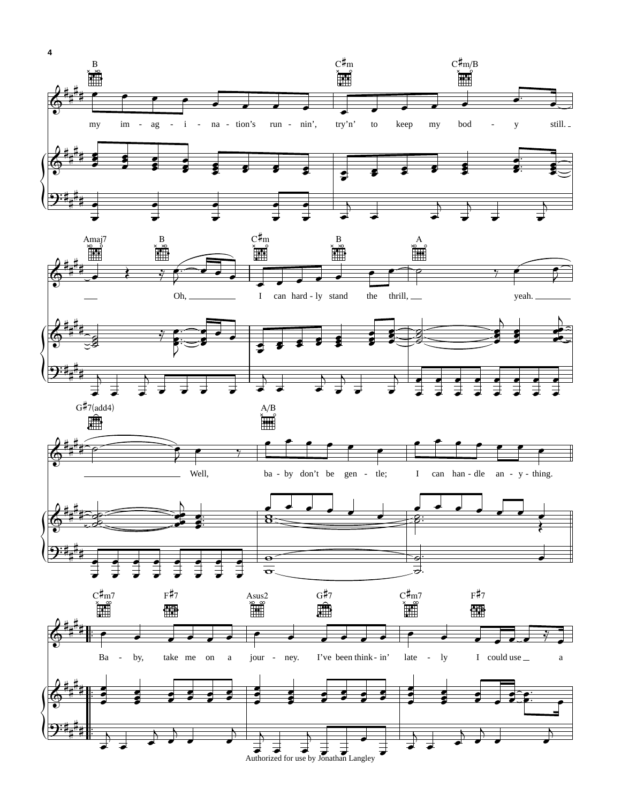